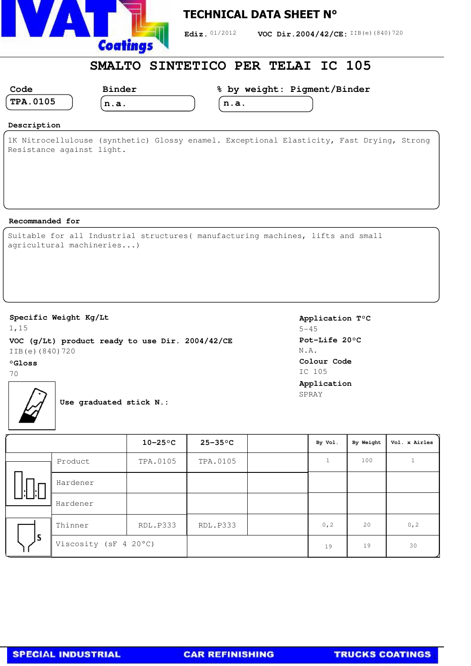

## **TECHNICAL DATA SHEET N°**

Ediz. 01/2012 **VOC Dir.2004/42/CE:** IIB(e)(840)720

## **SMALTO SINTETICO PER TELAI IC 105**

| n<br>ے<br>., |  |
|--------------|--|
| 23           |  |

**Binder**

**% by weight: Pigment/Binder**

| ---- | - |  |  |
|------|---|--|--|
|      |   |  |  |
|      |   |  |  |

| __ | . | __ | ------ | $\sim$ |
|----|---|----|--------|--------|
|    |   |    |        |        |
|    |   |    |        |        |

**n.a.**

| n.a. |  |
|------|--|
|      |  |

#### **Description**

1K Nitrocellulouse (synthetic) Glossy enamel. Exceptional Elasticity, Fast Drying, Strong Resistance against light.

#### **Recommanded for**

|  |                           | Suitable for all Industrial structures ( manufacturing machines, lifts and small |  |  |
|--|---------------------------|----------------------------------------------------------------------------------|--|--|
|  | agricultural machineries) |                                                                                  |  |  |

### **Specific Weight Kg/Lt**

1,15 **VOC (g/Lt) product ready to use Dir. 2004/42/CE** IIB(e)(840)720

## **°Gloss**

70

**Application T°C** 5-45 **Pot-Life 20°C** N.A. **Colour Code** IC 105 **Application** SPRAY



**Use graduated stick N.:**

|     |                       | $10-25$ °C | $25-35$ °C      | By Vol. | By Weight | Vol. x Airles |
|-----|-----------------------|------------|-----------------|---------|-----------|---------------|
|     | Product               | TPA.0105   | TPA.0105        |         | 100       |               |
| ı.  | Hardener              |            |                 |         |           |               |
|     | Hardener              |            |                 |         |           |               |
|     | Thinner               | RDL.P333   | <b>RDL.P333</b> | 0, 2    | 20        | 0, 2          |
| ls. | Viscosity (sF 4 20°C) |            |                 | 19      | 19        | 30            |